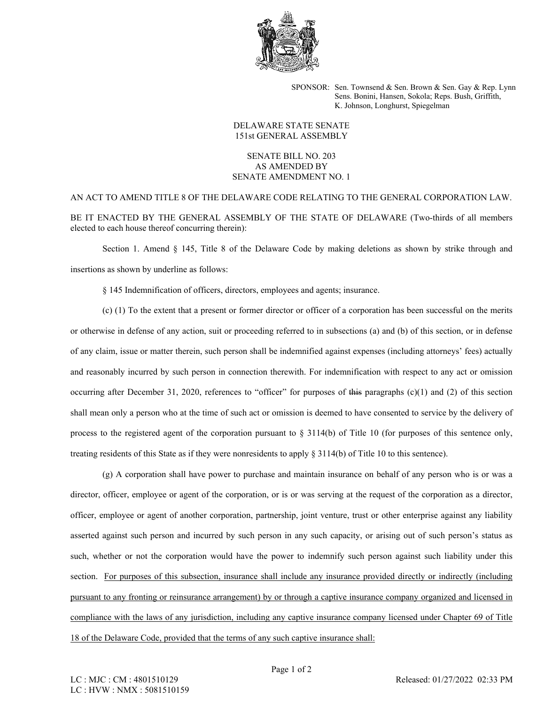

SPONSOR: Sen. Townsend & Sen. Brown & Sen. Gay & Rep. Lynn Sens. Bonini, Hansen, Sokola; Reps. Bush, Griffith, K. Johnson, Longhurst, Spiegelman

## DELAWARE STATE SENATE 151st GENERAL ASSEMBLY

## SENATE BILL NO. 203 AS AMENDED BY SENATE AMENDMENT NO. 1

AN ACT TO AMEND TITLE 8 OF THE DELAWARE CODE RELATING TO THE GENERAL CORPORATION LAW. BE IT ENACTED BY THE GENERAL ASSEMBLY OF THE STATE OF DELAWARE (Two-thirds of all members elected to each house thereof concurring therein):

Section 1. Amend § 145, Title 8 of the Delaware Code by making deletions as shown by strike through and insertions as shown by underline as follows:

§ 145 Indemnification of officers, directors, employees and agents; insurance.

(c) (1) To the extent that a present or former director or officer of a corporation has been successful on the merits or otherwise in defense of any action, suit or proceeding referred to in subsections (a) and (b) of this section, or in defense of any claim, issue or matter therein, such person shall be indemnified against expenses (including attorneys' fees) actually and reasonably incurred by such person in connection therewith. For indemnification with respect to any act or omission occurring after December 31, 2020, references to "officer" for purposes of this paragraphs  $(c)(1)$  and  $(2)$  of this section shall mean only a person who at the time of such act or omission is deemed to have consented to service by the delivery of process to the registered agent of the corporation pursuant to § 3114(b) of Title 10 (for purposes of this sentence only, treating residents of this State as if they were nonresidents to apply § 3114(b) of Title 10 to this sentence).

(g) A corporation shall have power to purchase and maintain insurance on behalf of any person who is or was a director, officer, employee or agent of the corporation, or is or was serving at the request of the corporation as a director, officer, employee or agent of another corporation, partnership, joint venture, trust or other enterprise against any liability asserted against such person and incurred by such person in any such capacity, or arising out of such person's status as such, whether or not the corporation would have the power to indemnify such person against such liability under this section. For purposes of this subsection, insurance shall include any insurance provided directly or indirectly (including pursuant to any fronting or reinsurance arrangement) by or through a captive insurance company organized and licensed in compliance with the laws of any jurisdiction, including any captive insurance company licensed under Chapter 69 of Title 18 of the Delaware Code, provided that the terms of any such captive insurance shall: